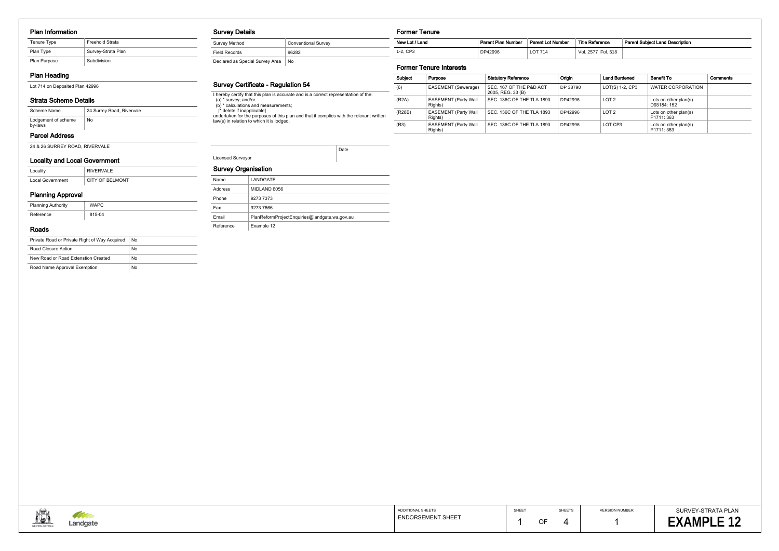#### Plan Information

| Tenure Type  | <b>Freehold Strata</b> |
|--------------|------------------------|
| Plan Type    | Survey-Strata Plan     |
| Plan Purpose | Subdivision            |

# Plan Heading

Lot 714 on Deposited Plan 42996

# Strata Scheme Details

## Parcel Address

24 & 26 SURREY ROAD, RIVERVALE

| Scheme Name                    | 24 Surrey Road, Rivervale |
|--------------------------------|---------------------------|
| Lodgement of scheme<br>by-laws | No                        |

# Locality and Local Government

| Locality                | RIVERVALE       |
|-------------------------|-----------------|
| <b>Local Government</b> | CITY OF BELMONT |

# Planning Approval

| <b>Planning Authority</b> | <b>WAPC</b> |
|---------------------------|-------------|
| Reference                 | 815-04      |

#### Roads

| Private Road or Private Right of Way Acquired | No |
|-----------------------------------------------|----|
| Road Closure Action                           | No |
| New Road or Road Extenstion Created           | No |
| Road Name Approval Exemption                  | No |

## Survey Details

| Survey Method                   | <b>Conventional Survey</b> |
|---------------------------------|----------------------------|
| Field Records                   | 96282                      |
| Declared as Special Survey Area | No                         |

## Survey Certificate - Regulation 54

I hereby certify that this plan is accurate and is a correct representation of the: (a) \* survey; and/or (b) \* calculations and measurements;

[\* delete if inapplicable]

undertaken for the purposes of this plan and that it complies with the relevant written law(s) in relation to which it is lodged.

Licensed Surveyor

Date

## Survey Organisation

| Name      | LANDGATE                                      |
|-----------|-----------------------------------------------|
| Address   | MIDLAND 6056                                  |
| Phone     | 9273 7373                                     |
| Fax       | 9273 7666                                     |
| Email     | PlanReformProjectEnquiries@landgate.wa.gov.au |
| Reference | Example 12                                    |



#### Former Tenure

| - 2                                                                                                    | <b>ADDITIONAL SHEETS</b> | SHEET |    |
|--------------------------------------------------------------------------------------------------------|--------------------------|-------|----|
| <b>The Company of the Company of the Company</b><br>the control of the control of the con-<br>Landgate | <b>ENDORSEMENT SHEET</b> |       | OF |
|                                                                                                        |                          |       |    |

SHEETS  $\overline{4}$ 

| Subject | Purpose                                | <b>Statutory Reference</b>                   | Origin   | <b>Land Burdened</b> | <b>Benefit To</b>                                | <b>Comments</b> |
|---------|----------------------------------------|----------------------------------------------|----------|----------------------|--------------------------------------------------|-----------------|
| (6)     | EASEMENT (Sewerage)                    | SEC. 167 OF THE P&D ACT<br>2005, REG. 33 (B) | DP 38790 | LOT(S) 1-2, CP3      | <b>WATER CORPORATION</b>                         |                 |
| (R2A)   | <b>EASEMENT (Party Wall</b><br>Rights) | SEC. 136C OF THE TLA 1893                    | DP42996  | LOT <sub>2</sub>     | Lots on other plan(s)<br>D93184: 152             |                 |
| (R28B)  | <b>EASEMENT (Party Wall</b><br>Rights) | SEC. 136C OF THE TLA 1893                    | DP42996  | LOT <sub>2</sub>     | Lots on other plan(s)<br>P <sub>1711</sub> : 363 |                 |
| (R3)    | <b>EASEMENT (Party Wall</b><br>Rights) | SEC. 136C OF THE TLA 1893                    | DP42996  | LOT CP3              | Lots on other plan(s)<br>P1711: 363              |                 |

## Former Tenure Interests



| New Lot / Land | Parent Plan Number | <b>Parent Lot Number</b> | <b>Title Reference</b> | <b>Parent Subiect Land Description</b> |
|----------------|--------------------|--------------------------|------------------------|----------------------------------------|
| $-2, CP3$      | DP42996            | ∟OT 714                  | Fol. 518<br>Vol. 2577  |                                        |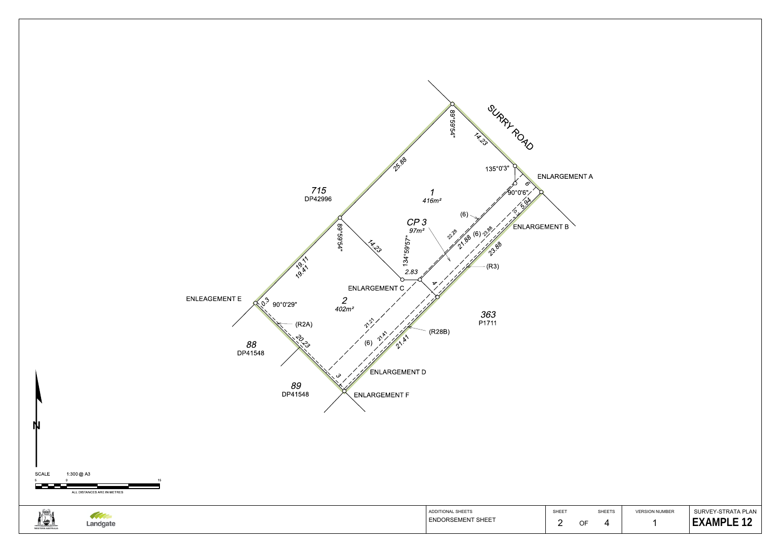

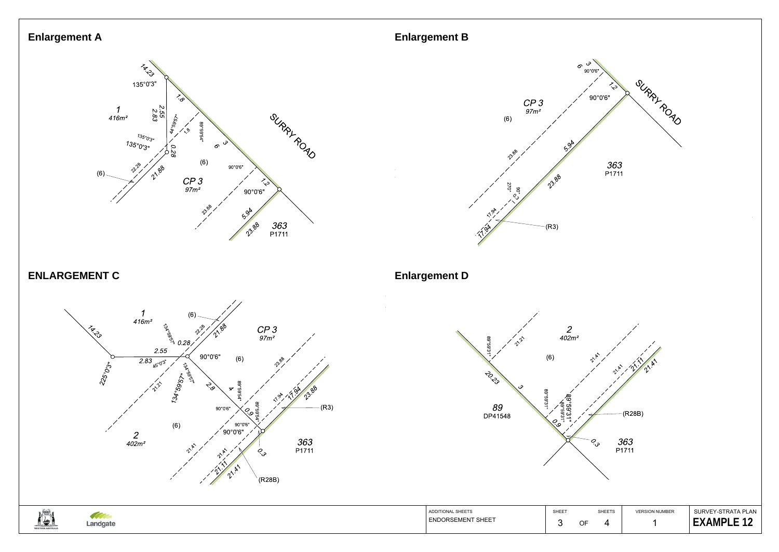